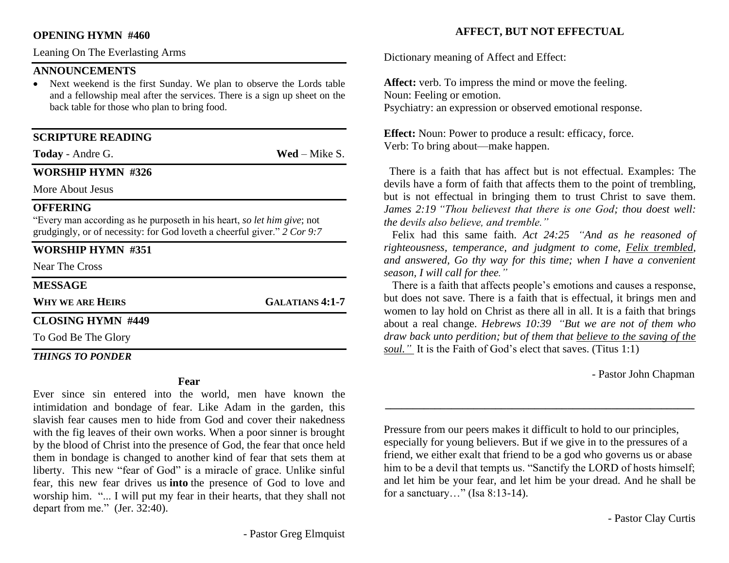#### **OPENING HYMN #460**

Leaning On The Everlasting Arms

# **ANNOUNCEMENTS**

Next weekend is the first Sunday. We plan to observe the Lords table and a fellowship meal after the services. There is a sign up sheet on the back table for those who plan to bring food.

# **SCRIPTURE READING**

**Today** - Andre G. **Wed** – Mike S.

#### **WORSHIP HYMN #326**

More About Jesus

#### **OFFERING**

"Every man according as he purposeth in his heart, *so let him give*; not grudgingly, or of necessity: for God loveth a cheerful giver." *2 Cor 9:7*

# **WORSHIP HYMN #351**

Near The Cross

#### **MESSAGE**

**WHY WE ARE HEIRS GALATIANS 4:1-7**

# **CLOSING HYMN #449**

To God Be The Glory

#### *THINGS TO PONDER*

#### **Fear**

Ever since sin entered into the world, men have known the intimidation and bondage of fear. Like Adam in the garden, this slavish fear causes men to hide from God and cover their nakedness with the fig leaves of their own works. When a poor sinner is brought by the blood of Christ into the presence of God, the fear that once held them in bondage is changed to another kind of fear that sets them at liberty. This new "fear of God" is a miracle of grace. Unlike sinful fear, this new fear drives us **into** the presence of God to love and worship him. "... I will put my fear in their hearts, that they shall not depart from me." (Jer. 32:40).

# **AFFECT, BUT NOT EFFECTUAL**

Dictionary meaning of Affect and Effect:

**Affect:** verb. To impress the mind or move the feeling. Noun: Feeling or emotion. Psychiatry: an expression or observed emotional response.

**Effect:** Noun: Power to produce a result: efficacy, force. Verb: To bring about—make happen.

 There is a faith that has affect but is not effectual. Examples: The devils have a form of faith that affects them to the point of trembling, but is not effectual in bringing them to trust Christ to save them. *James 2:19 "Thou believest that there is one God; thou doest well: the devils also believe, and tremble."*

 Felix had this same faith. *Act 24:25 "And as he reasoned of righteousness, temperance, and judgment to come, Felix trembled, and answered, Go thy way for this time; when I have a convenient season, I will call for thee."*

 There is a faith that affects people's emotions and causes a response, but does not save. There is a faith that is effectual, it brings men and women to lay hold on Christ as there all in all. It is a faith that brings about a real change. *Hebrews 10:39 "But we are not of them who draw back unto perdition; but of them that believe to the saving of the soul."* It is the Faith of God's elect that saves. (Titus 1:1)

- Pastor John Chapman

Pressure from our peers makes it difficult to hold to our principles, especially for young believers. But if we give in to the pressures of a friend, we either exalt that friend to be a god who governs us or abase him to be a devil that tempts us. "Sanctify the LORD of hosts himself; and let him be your fear, and let him be your dread. And he shall be for a sanctuary…" (Isa 8:13-14).

**\_\_\_\_\_\_\_\_\_\_\_\_\_\_\_\_\_\_\_\_\_\_\_\_\_\_\_\_\_\_\_\_\_\_\_\_\_\_\_\_\_\_\_\_\_\_\_\_\_\_\_\_\_\_\_\_**